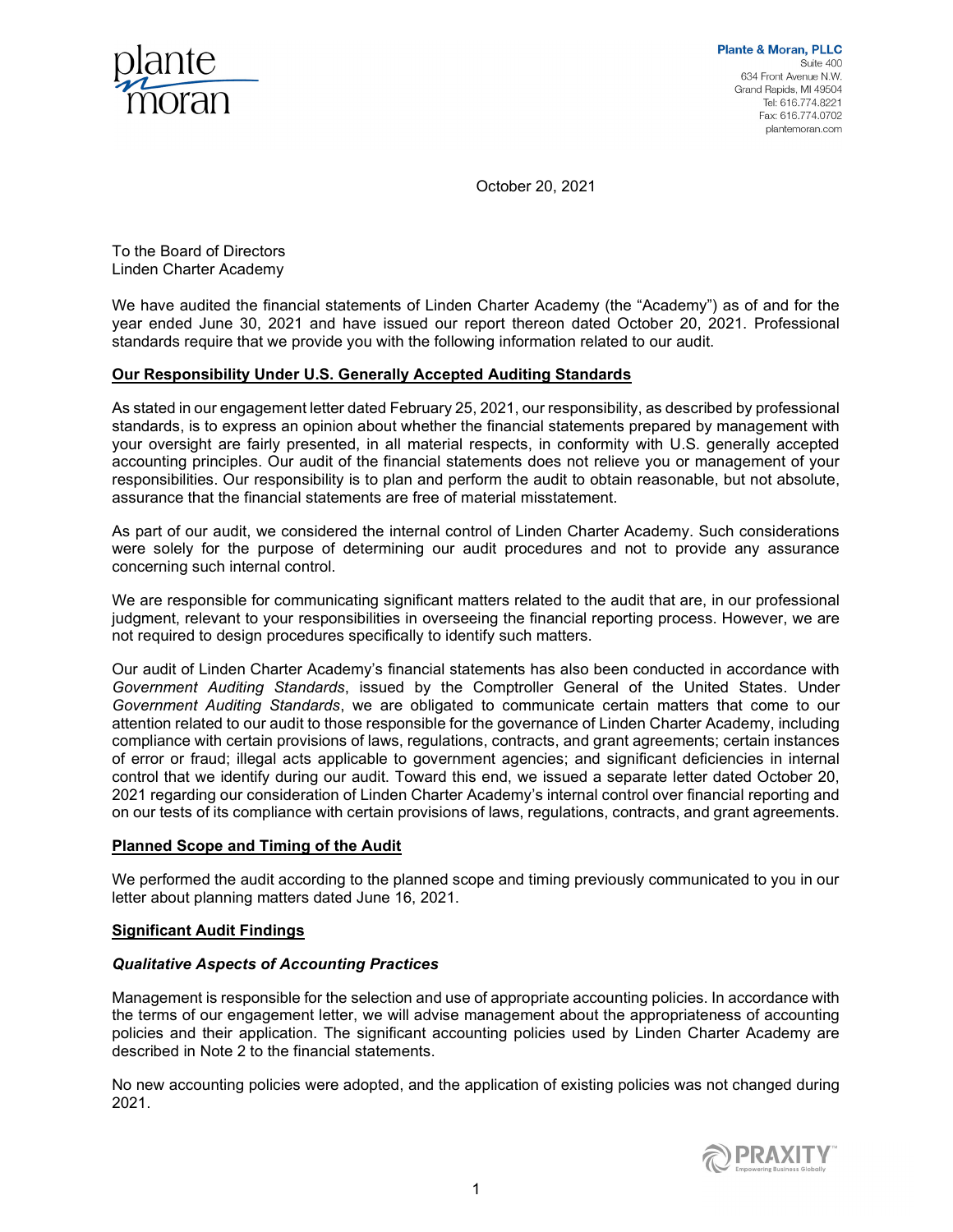

October 20, 2021

To the Board of Directors Linden Charter Academy

We have audited the financial statements of Linden Charter Academy (the "Academy") as of and for the year ended June 30, 2021 and have issued our report thereon dated October 20, 2021. Professional standards require that we provide you with the following information related to our audit.

# Our Responsibility Under U.S. Generally Accepted Auditing Standards

As stated in our engagement letter dated February 25, 2021, our responsibility, as described by professional standards, is to express an opinion about whether the financial statements prepared by management with your oversight are fairly presented, in all material respects, in conformity with U.S. generally accepted accounting principles. Our audit of the financial statements does not relieve you or management of your responsibilities. Our responsibility is to plan and perform the audit to obtain reasonable, but not absolute, assurance that the financial statements are free of material misstatement.

As part of our audit, we considered the internal control of Linden Charter Academy. Such considerations were solely for the purpose of determining our audit procedures and not to provide any assurance concerning such internal control.

We are responsible for communicating significant matters related to the audit that are, in our professional judgment, relevant to your responsibilities in overseeing the financial reporting process. However, we are not required to design procedures specifically to identify such matters.

Our audit of Linden Charter Academy's financial statements has also been conducted in accordance with Government Auditing Standards, issued by the Comptroller General of the United States. Under Government Auditing Standards, we are obligated to communicate certain matters that come to our attention related to our audit to those responsible for the governance of Linden Charter Academy, including compliance with certain provisions of laws, regulations, contracts, and grant agreements; certain instances of error or fraud; illegal acts applicable to government agencies; and significant deficiencies in internal control that we identify during our audit. Toward this end, we issued a separate letter dated October 20, 2021 regarding our consideration of Linden Charter Academy's internal control over financial reporting and on our tests of its compliance with certain provisions of laws, regulations, contracts, and grant agreements.

# Planned Scope and Timing of the Audit

We performed the audit according to the planned scope and timing previously communicated to you in our letter about planning matters dated June 16, 2021.

## Significant Audit Findings

## Qualitative Aspects of Accounting Practices

Management is responsible for the selection and use of appropriate accounting policies. In accordance with the terms of our engagement letter, we will advise management about the appropriateness of accounting policies and their application. The significant accounting policies used by Linden Charter Academy are described in Note 2 to the financial statements.

No new accounting policies were adopted, and the application of existing policies was not changed during 2021.

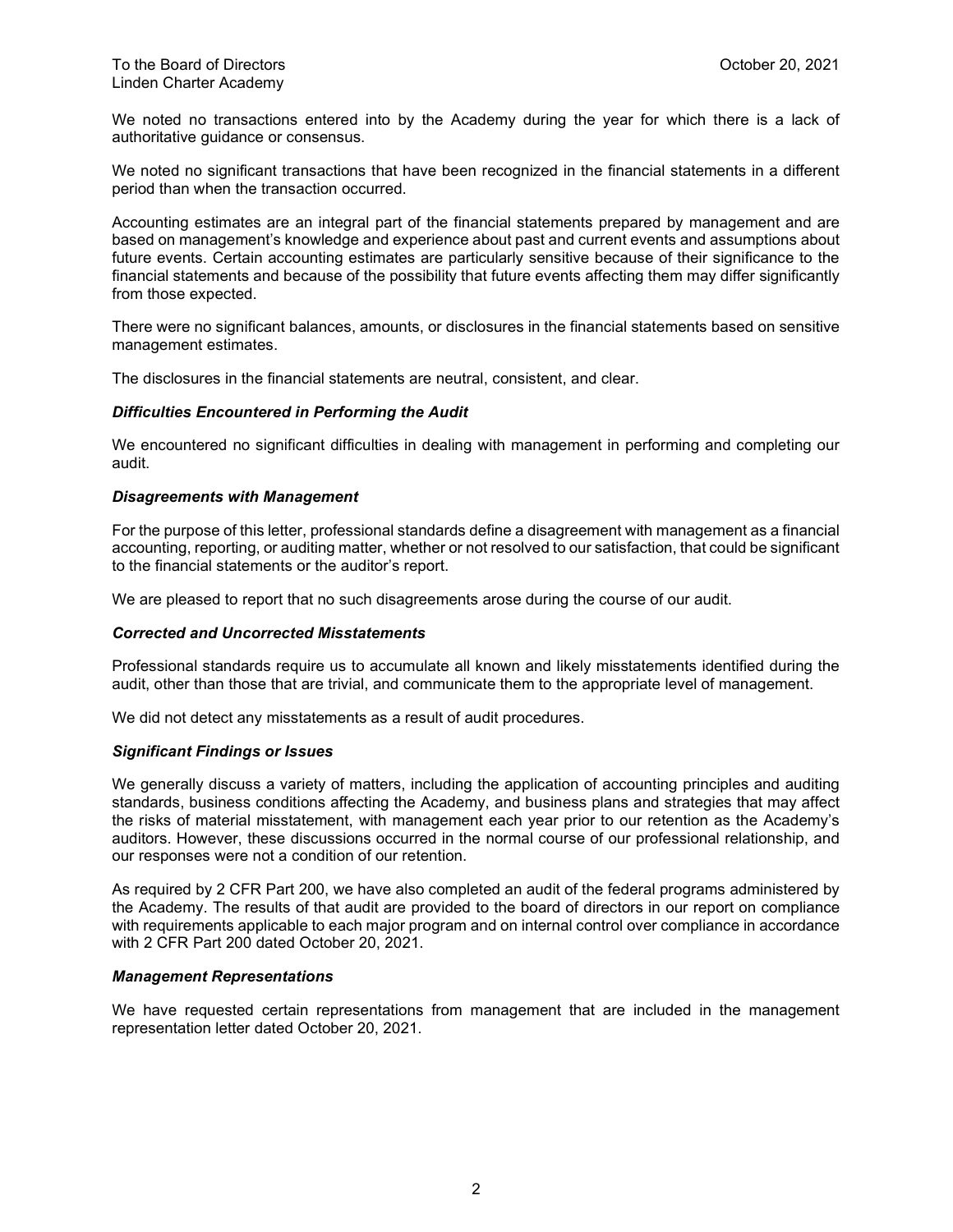We noted no transactions entered into by the Academy during the year for which there is a lack of authoritative guidance or consensus.

We noted no significant transactions that have been recognized in the financial statements in a different period than when the transaction occurred.

Accounting estimates are an integral part of the financial statements prepared by management and are based on management's knowledge and experience about past and current events and assumptions about future events. Certain accounting estimates are particularly sensitive because of their significance to the financial statements and because of the possibility that future events affecting them may differ significantly from those expected.

There were no significant balances, amounts, or disclosures in the financial statements based on sensitive management estimates.

The disclosures in the financial statements are neutral, consistent, and clear.

## Difficulties Encountered in Performing the Audit

We encountered no significant difficulties in dealing with management in performing and completing our audit.

### Disagreements with Management

For the purpose of this letter, professional standards define a disagreement with management as a financial accounting, reporting, or auditing matter, whether or not resolved to our satisfaction, that could be significant to the financial statements or the auditor's report.

We are pleased to report that no such disagreements arose during the course of our audit.

## Corrected and Uncorrected Misstatements

Professional standards require us to accumulate all known and likely misstatements identified during the audit, other than those that are trivial, and communicate them to the appropriate level of management.

We did not detect any misstatements as a result of audit procedures.

#### Significant Findings or Issues

We generally discuss a variety of matters, including the application of accounting principles and auditing standards, business conditions affecting the Academy, and business plans and strategies that may affect the risks of material misstatement, with management each year prior to our retention as the Academy's auditors. However, these discussions occurred in the normal course of our professional relationship, and our responses were not a condition of our retention.

As required by 2 CFR Part 200, we have also completed an audit of the federal programs administered by the Academy. The results of that audit are provided to the board of directors in our report on compliance with requirements applicable to each major program and on internal control over compliance in accordance with 2 CFR Part 200 dated October 20, 2021.

### Management Representations

We have requested certain representations from management that are included in the management representation letter dated October 20, 2021.